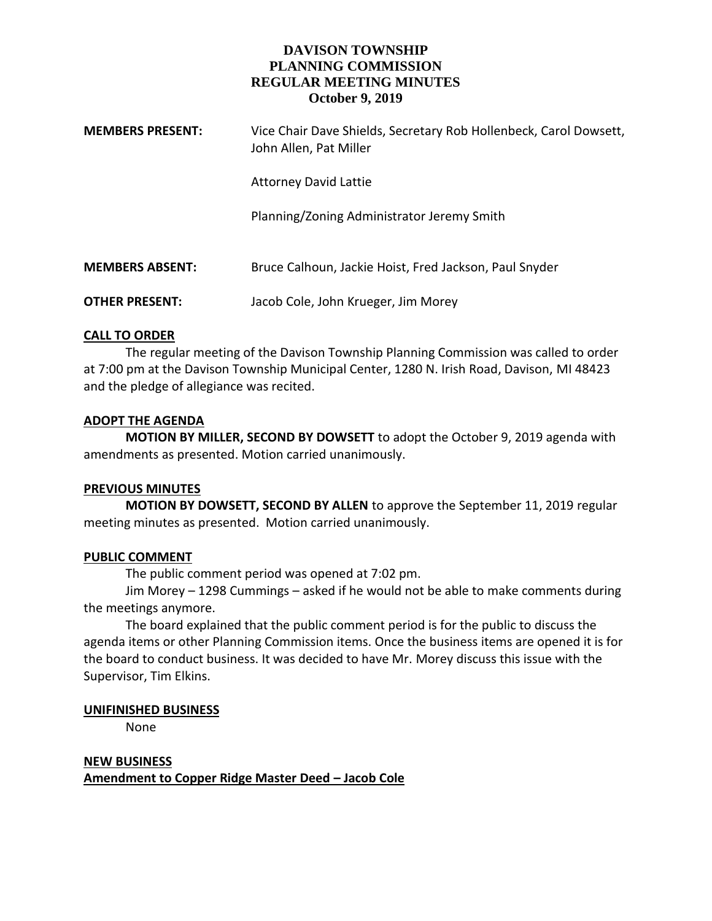# **DAVISON TOWNSHIP PLANNING COMMISSION REGULAR MEETING MINUTES October 9, 2019**

| <b>MEMBERS PRESENT:</b> | Vice Chair Dave Shields, Secretary Rob Hollenbeck, Carol Dowsett,<br>John Allen, Pat Miller |
|-------------------------|---------------------------------------------------------------------------------------------|
|                         | <b>Attorney David Lattie</b>                                                                |
|                         | Planning/Zoning Administrator Jeremy Smith                                                  |
| <b>MEMBERS ABSENT:</b>  | Bruce Calhoun, Jackie Hoist, Fred Jackson, Paul Snyder                                      |
| <b>OTHER PRESENT:</b>   | Jacob Cole, John Krueger, Jim Morey                                                         |

#### **CALL TO ORDER**

The regular meeting of the Davison Township Planning Commission was called to order at 7:00 pm at the Davison Township Municipal Center, 1280 N. Irish Road, Davison, MI 48423 and the pledge of allegiance was recited.

## **ADOPT THE AGENDA**

**MOTION BY MILLER, SECOND BY DOWSETT** to adopt the October 9, 2019 agenda with amendments as presented. Motion carried unanimously.

## **PREVIOUS MINUTES**

**MOTION BY DOWSETT, SECOND BY ALLEN** to approve the September 11, 2019 regular meeting minutes as presented. Motion carried unanimously.

## **PUBLIC COMMENT**

The public comment period was opened at 7:02 pm.

Jim Morey – 1298 Cummings – asked if he would not be able to make comments during the meetings anymore.

The board explained that the public comment period is for the public to discuss the agenda items or other Planning Commission items. Once the business items are opened it is for the board to conduct business. It was decided to have Mr. Morey discuss this issue with the Supervisor, Tim Elkins.

#### **UNIFINISHED BUSINESS**

None

**NEW BUSINESS Amendment to Copper Ridge Master Deed – Jacob Cole**